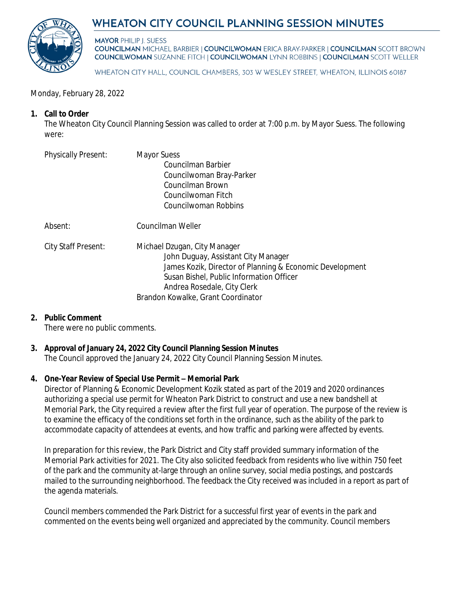# WHEATON CITY COUNCIL PLANNING SESSION MINUTES



**MAYOR PHILIP I. SUESS COUNCILMAN MICHAEL BARBIER | COUNCILWOMAN ERICA BRAY-PARKER | COUNCILMAN SCOTT BROWN COUNCILWOMAN SUZANNE FITCH | COUNCILWOMAN LYNN ROBBINS | COUNCILMAN SCOTT WELLER** 

WHEATON CITY HALL, COUNCIL CHAMBERS, 303 W WESLEY STREET, WHEATON, ILLINOIS 60187

#### Monday, February 28, 2022

#### **1. Call to Order**

The Wheaton City Council Planning Session was called to order at 7:00 p.m. by Mayor Suess. The following were:

| <b>Physically Present:</b> | <b>Mayor Suess</b><br>Councilman Barbier<br>Councilwoman Bray-Parker<br>Councilman Brown<br>Councilwoman Fitch<br>Councilwoman Robbins                                                                                                           |
|----------------------------|--------------------------------------------------------------------------------------------------------------------------------------------------------------------------------------------------------------------------------------------------|
| Absent:                    | Councilman Weller                                                                                                                                                                                                                                |
| City Staff Present:        | Michael Dzugan, City Manager<br>John Duguay, Assistant City Manager<br>James Kozik, Director of Planning & Economic Development<br>Susan Bishel, Public Information Officer<br>Andrea Rosedale, City Clerk<br>Brandon Kowalke, Grant Coordinator |

#### **2. Public Comment**

There were no public comments.

# **3. Approval of January 24, 2022 City Council Planning Session Minutes**

The Council approved the January 24, 2022 City Council Planning Session Minutes.

#### **4. One-Year Review of Special Use Permit – Memorial Park**

Director of Planning & Economic Development Kozik stated as part of the 2019 and 2020 ordinances authorizing a special use permit for Wheaton Park District to construct and use a new bandshell at Memorial Park, the City required a review after the first full year of operation. The purpose of the review is to examine the efficacy of the conditions set forth in the ordinance, such as the ability of the park to accommodate capacity of attendees at events, and how traffic and parking were affected by events.

In preparation for this review, the Park District and City staff provided summary information of the Memorial Park activities for 2021. The City also solicited feedback from residents who live within 750 feet of the park and the community at-large through an online survey, social media postings, and postcards mailed to the surrounding neighborhood. The feedback the City received was included in a report as part of the agenda materials.

Council members commended the Park District for a successful first year of events in the park and commented on the events being well organized and appreciated by the community. Council members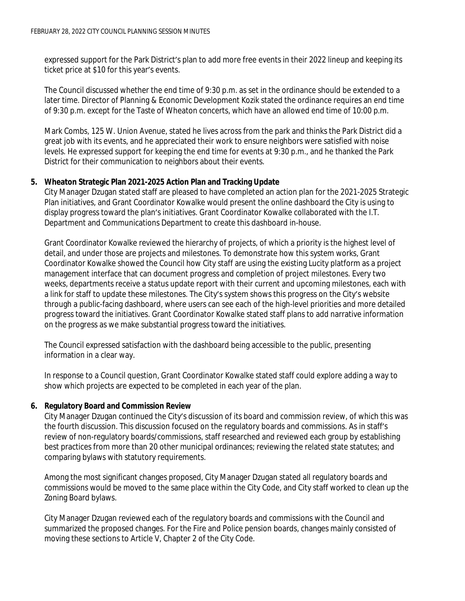expressed support for the Park District's plan to add more free events in their 2022 lineup and keeping its ticket price at \$10 for this year's events.

The Council discussed whether the end time of 9:30 p.m. as set in the ordinance should be extended to a later time. Director of Planning & Economic Development Kozik stated the ordinance requires an end time of 9:30 p.m. except for the Taste of Wheaton concerts, which have an allowed end time of 10:00 p.m.

Mark Combs, 125 W. Union Avenue, stated he lives across from the park and thinks the Park District did a great job with its events, and he appreciated their work to ensure neighbors were satisfied with noise levels. He expressed support for keeping the end time for events at 9:30 p.m., and he thanked the Park District for their communication to neighbors about their events.

## **5. Wheaton Strategic Plan 2021-2025 Action Plan and Tracking Update**

City Manager Dzugan stated staff are pleased to have completed an action plan for the 2021-2025 Strategic Plan initiatives, and Grant Coordinator Kowalke would present the online dashboard the City is using to display progress toward the plan's initiatives. Grant Coordinator Kowalke collaborated with the I.T. Department and Communications Department to create this dashboard in-house.

Grant Coordinator Kowalke reviewed the hierarchy of projects, of which a priority is the highest level of detail, and under those are projects and milestones. To demonstrate how this system works, Grant Coordinator Kowalke showed the Council how City staff are using the existing Lucity platform as a project management interface that can document progress and completion of project milestones. Every two weeks, departments receive a status update report with their current and upcoming milestones, each with a link for staff to update these milestones. The City's system shows this progress on the City's website through a public-facing dashboard, where users can see each of the high-level priorities and more detailed progress toward the initiatives. Grant Coordinator Kowalke stated staff plans to add narrative information on the progress as we make substantial progress toward the initiatives.

The Council expressed satisfaction with the dashboard being accessible to the public, presenting information in a clear way.

In response to a Council question, Grant Coordinator Kowalke stated staff could explore adding a way to show which projects are expected to be completed in each year of the plan.

#### **6. Regulatory Board and Commission Review**

City Manager Dzugan continued the City's discussion of its board and commission review, of which this was the fourth discussion. This discussion focused on the regulatory boards and commissions. As in staff's review of non-regulatory boards/commissions, staff researched and reviewed each group by establishing best practices from more than 20 other municipal ordinances; reviewing the related state statutes; and comparing bylaws with statutory requirements.

Among the most significant changes proposed, City Manager Dzugan stated all regulatory boards and commissions would be moved to the same place within the City Code, and City staff worked to clean up the Zoning Board bylaws.

City Manager Dzugan reviewed each of the regulatory boards and commissions with the Council and summarized the proposed changes. For the Fire and Police pension boards, changes mainly consisted of moving these sections to Article V, Chapter 2 of the City Code.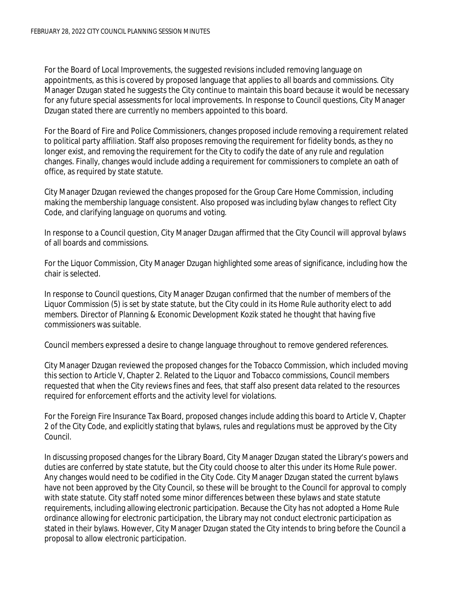For the Board of Local Improvements, the suggested revisions included removing language on appointments, as this is covered by proposed language that applies to all boards and commissions. City Manager Dzugan stated he suggests the City continue to maintain this board because it would be necessary for any future special assessments for local improvements. In response to Council questions, City Manager Dzugan stated there are currently no members appointed to this board.

For the Board of Fire and Police Commissioners, changes proposed include removing a requirement related to political party affiliation. Staff also proposes removing the requirement for fidelity bonds, as they no longer exist, and removing the requirement for the City to codify the date of any rule and regulation changes. Finally, changes would include adding a requirement for commissioners to complete an oath of office, as required by state statute.

City Manager Dzugan reviewed the changes proposed for the Group Care Home Commission, including making the membership language consistent. Also proposed was including bylaw changes to reflect City Code, and clarifying language on quorums and voting.

In response to a Council question, City Manager Dzugan affirmed that the City Council will approval bylaws of all boards and commissions.

For the Liquor Commission, City Manager Dzugan highlighted some areas of significance, including how the chair is selected.

In response to Council questions, City Manager Dzugan confirmed that the number of members of the Liquor Commission (5) is set by state statute, but the City could in its Home Rule authority elect to add members. Director of Planning & Economic Development Kozik stated he thought that having five commissioners was suitable.

Council members expressed a desire to change language throughout to remove gendered references.

City Manager Dzugan reviewed the proposed changes for the Tobacco Commission, which included moving this section to Article V, Chapter 2. Related to the Liquor and Tobacco commissions, Council members requested that when the City reviews fines and fees, that staff also present data related to the resources required for enforcement efforts and the activity level for violations.

For the Foreign Fire Insurance Tax Board, proposed changes include adding this board to Article V, Chapter 2 of the City Code, and explicitly stating that bylaws, rules and regulations must be approved by the City Council.

In discussing proposed changes for the Library Board, City Manager Dzugan stated the Library's powers and duties are conferred by state statute, but the City could choose to alter this under its Home Rule power. Any changes would need to be codified in the City Code. City Manager Dzugan stated the current bylaws have not been approved by the City Council, so these will be brought to the Council for approval to comply with state statute. City staff noted some minor differences between these bylaws and state statute requirements, including allowing electronic participation. Because the City has not adopted a Home Rule ordinance allowing for electronic participation, the Library may not conduct electronic participation as stated in their bylaws. However, City Manager Dzugan stated the City intends to bring before the Council a proposal to allow electronic participation.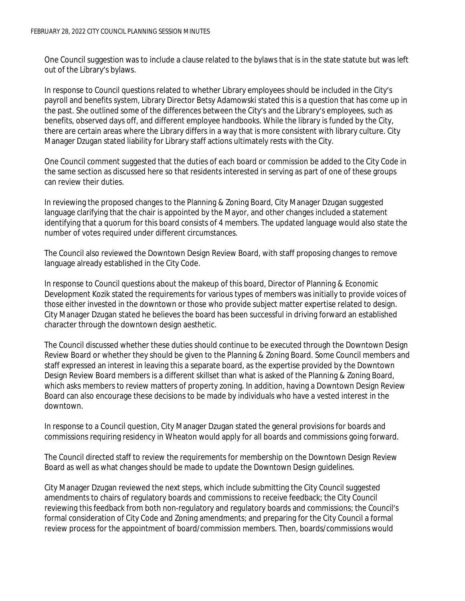One Council suggestion was to include a clause related to the bylaws that is in the state statute but was left out of the Library's bylaws.

In response to Council questions related to whether Library employees should be included in the City's payroll and benefits system, Library Director Betsy Adamowski stated this is a question that has come up in the past. She outlined some of the differences between the City's and the Library's employees, such as benefits, observed days off, and different employee handbooks. While the library is funded by the City, there are certain areas where the Library differs in a way that is more consistent with library culture. City Manager Dzugan stated liability for Library staff actions ultimately rests with the City.

One Council comment suggested that the duties of each board or commission be added to the City Code in the same section as discussed here so that residents interested in serving as part of one of these groups can review their duties.

In reviewing the proposed changes to the Planning & Zoning Board, City Manager Dzugan suggested language clarifying that the chair is appointed by the Mayor, and other changes included a statement identifying that a quorum for this board consists of 4 members. The updated language would also state the number of votes required under different circumstances.

The Council also reviewed the Downtown Design Review Board, with staff proposing changes to remove language already established in the City Code.

In response to Council questions about the makeup of this board, Director of Planning & Economic Development Kozik stated the requirements for various types of members was initially to provide voices of those either invested in the downtown or those who provide subject matter expertise related to design. City Manager Dzugan stated he believes the board has been successful in driving forward an established character through the downtown design aesthetic.

The Council discussed whether these duties should continue to be executed through the Downtown Design Review Board or whether they should be given to the Planning & Zoning Board. Some Council members and staff expressed an interest in leaving this a separate board, as the expertise provided by the Downtown Design Review Board members is a different skillset than what is asked of the Planning & Zoning Board, which asks members to review matters of property zoning. In addition, having a Downtown Design Review Board can also encourage these decisions to be made by individuals who have a vested interest in the downtown.

In response to a Council question, City Manager Dzugan stated the general provisions for boards and commissions requiring residency in Wheaton would apply for all boards and commissions going forward.

The Council directed staff to review the requirements for membership on the Downtown Design Review Board as well as what changes should be made to update the Downtown Design guidelines.

City Manager Dzugan reviewed the next steps, which include submitting the City Council suggested amendments to chairs of regulatory boards and commissions to receive feedback; the City Council reviewing this feedback from both non-regulatory and regulatory boards and commissions; the Council's formal consideration of City Code and Zoning amendments; and preparing for the City Council a formal review process for the appointment of board/commission members. Then, boards/commissions would